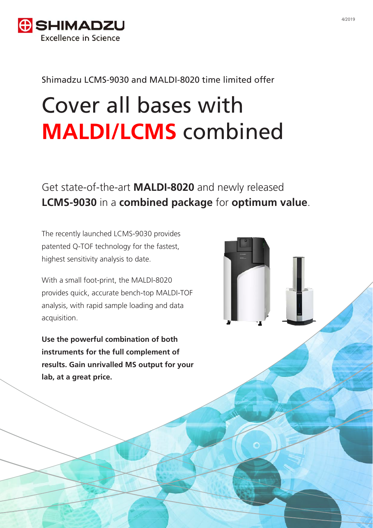

#### Shimadzu LCMS-9030 and MALDI-8020 time limited offer

# Cover all bases with **MALDI/LCMS** combined

## Get state-of-the-art **MALDI-8020** and newly released **LCMS-9030** in a **combined package** for **optimum value**.

The recently launched LCMS-9030 provides patented Q-TOF technology for the fastest, highest sensitivity analysis to date.

With a small foot-print, the MALDI-8020 provides quick, accurate bench-top MALDI-TOF analysis, with rapid sample loading and data acquisition.

**Use the powerful combination of both instruments for the full complement of results. Gain unrivalled MS output for your lab, at a great price.**